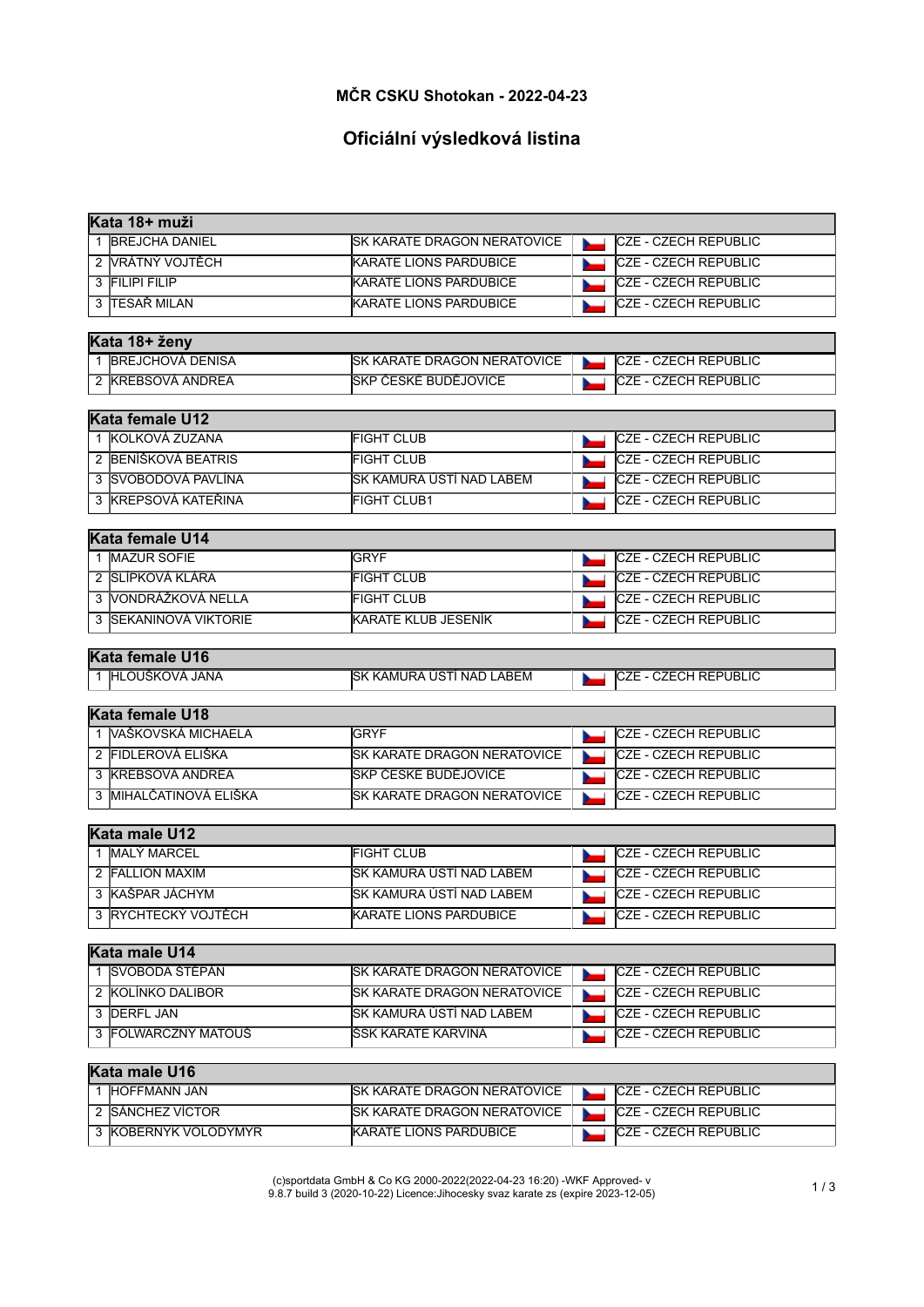#### **MČR CSKU Shotokan - 2022-04-23**

# **Oficiální výsledková listina**

| lKata 18+ muži         |                                    |                             |
|------------------------|------------------------------------|-----------------------------|
| 1 BREJCHA DANIEL       | <b>SK KARATE DRAGON NERATOVICE</b> | <b>CZE - CZECH REPUBLIC</b> |
| 2 VRÁTNÝ VOJTĚCH       | <b>KARATE LIONS PARDUBICE</b>      | <b>CZE - CZECH REPUBLIC</b> |
| 3 FILIPI FILIP         | <b>KARATE LIONS PARDUBICE</b>      | CZE - CZECH REPUBLIC        |
| 3 TESAŘ MILAN          | <b>KARATE LIONS PARDUBICE</b>      | <b>CZE - CZECH REPUBLIC</b> |
|                        |                                    |                             |
| Kata 18+ ženy          |                                    |                             |
| 1 BREJCHOVÁ DENISA     | <b>SK KARATE DRAGON NERATOVICE</b> | <b>CZE - CZECH REPUBLIC</b> |
| 2 KREBSOVÁ ANDREA      | SKP ČESKÉ BUDĚJOVICE               | <b>CZE - CZECH REPUBLIC</b> |
|                        |                                    |                             |
| Kata female U12        |                                    |                             |
| 1 KOLKOVÁ ZUZANA       | <b>FIGHT CLUB</b>                  | <b>CZE - CZECH REPUBLIC</b> |
| 2 BENÍŠKOVÁ BEATRIS    | <b>FIGHT CLUB</b>                  | <b>CZE - CZECH REPUBLIC</b> |
| 3 SVOBODOVÁ PAVLÍNA    | SK KAMURA ÚSTÍ NAD LABEM           | <b>CZE - CZECH REPUBLIC</b> |
| 3 KREPSOVÁ KATEŘINA    | <b>FIGHT CLUB1</b>                 | CZE - CZECH REPUBLIC        |
|                        |                                    |                             |
| Kata female U14        |                                    |                             |
| 1 MAZUR SOFIE          | <b>GRYF</b>                        | <b>CZE - CZECH REPUBLIC</b> |
| 2 SLÍPKOVÁ KLÁRA       | <b>FIGHT CLUB</b>                  | <b>CZE - CZECH REPUBLIC</b> |
| 3 VONDRÁŽKOVÁ NELLA    | <b>FIGHT CLUB</b>                  | <b>CZE - CZECH REPUBLIC</b> |
| 3 SEKANINOVÁ VIKTORIE  | <b>KARATE KLUB JESENÍK</b>         | <b>CZE - CZECH REPUBLIC</b> |
| Kata female U16        |                                    |                             |
| 1 HLOUŠKOVÁ JANA       | SK KAMURA ÚSTÍ NAD LABEM           | CZE - CZECH REPUBLIC        |
|                        |                                    |                             |
| Kata female U18        |                                    |                             |
| 1 VAŠKOVSKÁ MICHAELA   | <b>GRYF</b>                        | <b>CZE - CZECH REPUBLIC</b> |
| 2 FIDLEROVÁ ELIŠKA     | SK KARATE DRAGON NERATOVICE        | CZE - CZECH REPUBLIC        |
| 3 KREBSOVÁ ANDREA      | SKP ČESKÉ BUDĚJOVICE               | <b>CZE - CZECH REPUBLIC</b> |
| 3 MIHALČATINOVÁ ELIŠKA | <b>SK KARATE DRAGON NERATOVICE</b> | <b>CZE - CZECH REPUBLIC</b> |
|                        |                                    |                             |
| Kata male U12          |                                    |                             |
| 1 MALÝ MARCEL          | <b>FIGHT CLUB</b>                  | CZE - CZECH REPUBLIC        |
| 2 FALLION MAXIM        | SK KAMURA ÚSTÍ NAD LABEM           | <b>CZE - CZECH REPUBLIC</b> |
| 3 KAŠPAR JÁCHYM        | SK KAMURA ÚSTÍ NAD LABEM           | <b>CZE - CZECH REPUBLIC</b> |
| 3 RYCHTECKÝ VOJTĚCH    | KARATE LIONS PARDUBICE             | CZE - CZECH REPUBLIC        |
|                        |                                    |                             |
| Kata male U14          |                                    |                             |
| 1 SVOBODA ŠTĚPÁN       | <b>SK KARATE DRAGON NERATOVICE</b> | <b>CZE - CZECH REPUBLIC</b> |
| 2 KOLÍNKO DALIBOR      | SK KARATE DRAGON NERATOVICE        | CZE - CZECH REPUBLIC        |
| 3 DERFL JAN            | SK KAMURA ÚSTÍ NAD LABEM           | <b>CZE - CZECH REPUBLIC</b> |
| 3 FOLWARCZNÝ MATOUŠ    | ŠSK KARATE KARVINÁ                 | CZE - CZECH REPUBLIC        |
|                        |                                    |                             |
| Kata male U16          |                                    |                             |
| 1 HOFFMANN JAN         | SK KARATE DRAGON NERATOVICE        | CZE - CZECH REPUBLIC        |
| 2 SÁNCHEZ VÍCTOR       | <b>SK KARATE DRAGON NERATOVICE</b> | CZE - CZECH REPUBLIC        |
| 3 KOBERNYK VOLODYMYR   | <b>KARATE LIONS PARDUBICE</b>      | <b>CZE - CZECH REPUBLIC</b> |
|                        |                                    |                             |

(c)sportdata GmbH & Co KG 2000-2022(2022-04-23 16:20) -WKF Approved- v 9.8.7 build 3 (2020-10-22) Licence:Jihocesky svaz karate zs (expire 2023-12-05) 1 / 3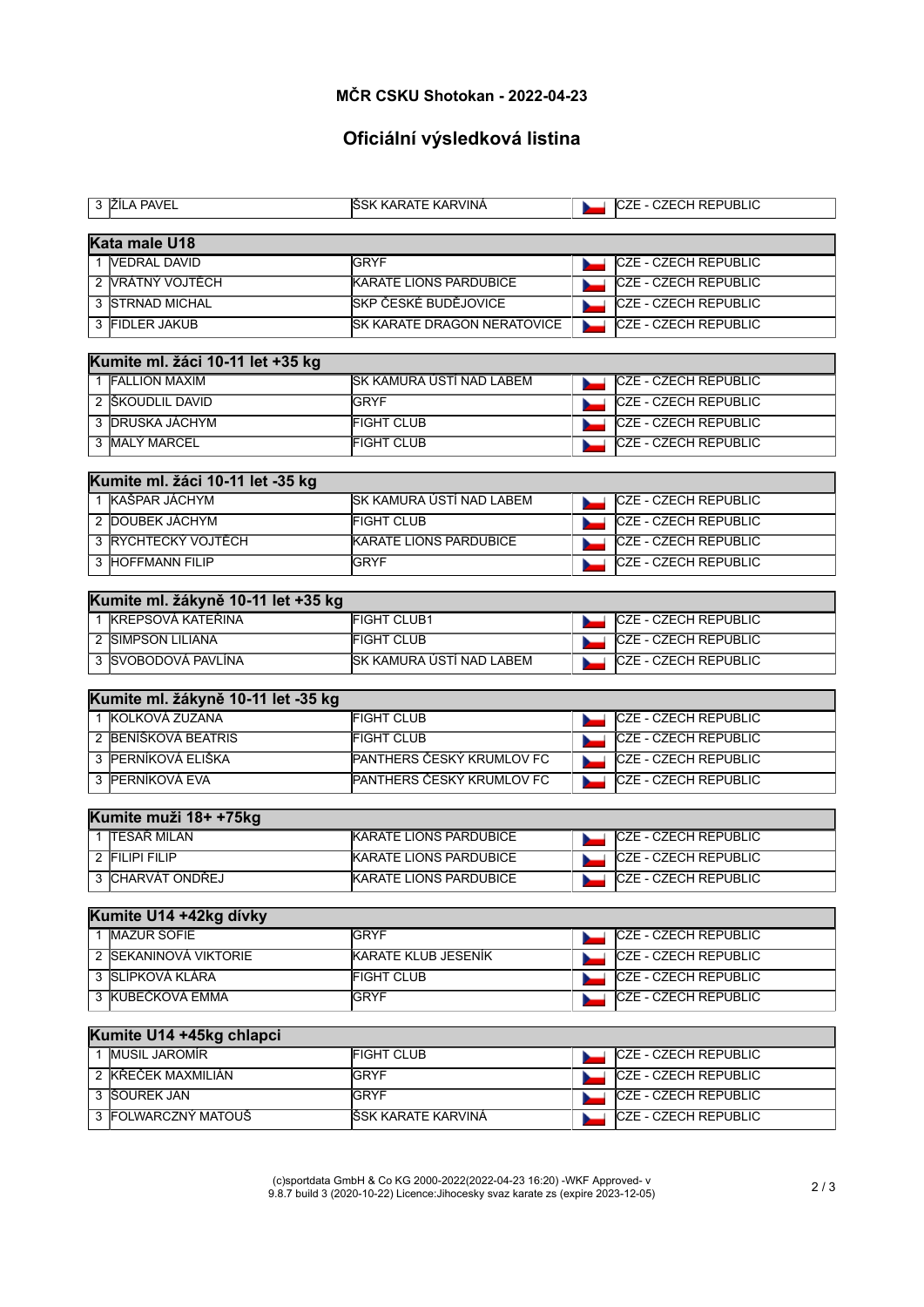#### **MČR CSKU Shotokan - 2022-04-23**

# **Oficiální výsledková listina**

| 3 ŽÍLA PAVEL                                           | ŠSK KARATE KARVINÁ            | <b>CZE - CZECH REPUBLIC</b> |  |  |  |  |  |
|--------------------------------------------------------|-------------------------------|-----------------------------|--|--|--|--|--|
| Kata male U18                                          |                               |                             |  |  |  |  |  |
| 1 VEDRAL DAVID                                         | <b>GRYF</b>                   | <b>CZE - CZECH REPUBLIC</b> |  |  |  |  |  |
| 2 VRÁTNÝ VOJTĚCH                                       | <b>KARATE LIONS PARDUBICE</b> | CZE - CZECH REPUBLIC        |  |  |  |  |  |
| 3 STRNAD MICHAL                                        | SKP ČESKÉ BUDĚJOVICE          | CZE - CZECH REPUBLIC        |  |  |  |  |  |
| 3 FIDLER JAKUB                                         | SK KARATE DRAGON NERATOVICE   | <b>CZE - CZECH REPUBLIC</b> |  |  |  |  |  |
|                                                        |                               |                             |  |  |  |  |  |
| Kumite ml. žáci 10-11 let +35 kg                       |                               |                             |  |  |  |  |  |
| 1 FALLION MAXIM                                        | SK KAMURA ÚSTÍ NAD LABEM      | CZE - CZECH REPUBLIC        |  |  |  |  |  |
| 2 SKOUDLIL DAVID                                       | <b>GRYF</b>                   | CZE - CZECH REPUBLIC        |  |  |  |  |  |
| 3 DRUSKA JÁCHYM                                        | <b>FIGHT CLUB</b>             | <b>CZE - CZECH REPUBLIC</b> |  |  |  |  |  |
| 3 MALÝ MARCEL                                          | <b>FIGHT CLUB</b>             | CZE - CZECH REPUBLIC        |  |  |  |  |  |
| Kumite ml. žáci 10-11 let -35 kg                       |                               |                             |  |  |  |  |  |
| 1 KAŠPAR JÁCHYM                                        | SK KAMURA ÚSTÍ NAD LABEM      | <b>CZE - CZECH REPUBLIC</b> |  |  |  |  |  |
| 2 DOUBEK JÁCHYM                                        | <b>FIGHT CLUB</b>             | CZE - CZECH REPUBLIC        |  |  |  |  |  |
| 3 RYCHTECKÝ VOJTĚCH                                    | <b>KARATE LIONS PARDUBICE</b> | CZE - CZECH REPUBLIC        |  |  |  |  |  |
| 3 HOFFMANN FILIP                                       | <b>GRYF</b>                   | CZE - CZECH REPUBLIC        |  |  |  |  |  |
|                                                        |                               |                             |  |  |  |  |  |
| Kumite ml. žákyně 10-11 let +35 kg                     |                               |                             |  |  |  |  |  |
| 1 KREPSOVÁ KATEŘINA                                    | <b>FIGHT CLUB1</b>            | <b>CZE - CZECH REPUBLIC</b> |  |  |  |  |  |
| 2 SIMPSON LILIANA                                      | <b>FIGHT CLUB</b>             | CZE - CZECH REPUBLIC        |  |  |  |  |  |
| 3 SVOBODOVÁ PAVLÍNA                                    | SK KAMURA ÚSTÍ NAD LABEM      | <b>CZE - CZECH REPUBLIC</b> |  |  |  |  |  |
|                                                        |                               |                             |  |  |  |  |  |
| Kumite ml. žákyně 10-11 let -35 kg<br>1 KOLKOVÁ ZUZANA | <b>FIGHT CLUB</b>             | CZE - CZECH REPUBLIC        |  |  |  |  |  |
| 2 BENÍŠKOVÁ BEATRIS                                    | <b>FIGHT CLUB</b>             | <b>CZE - CZECH REPUBLIC</b> |  |  |  |  |  |
| 3 PERNÍKOVÁ ELIŠKA                                     | PANTHERS ČESKÝ KRUMLOV FC     | CZE - CZECH REPUBLIC        |  |  |  |  |  |
|                                                        |                               |                             |  |  |  |  |  |
| 3 PERNÍKOVÁ EVA                                        | PANTHERS ČESKÝ KRUMLOV FC     | <b>CZE - CZECH REPUBLIC</b> |  |  |  |  |  |
| Kumite muži 18+ +75kg                                  |                               |                             |  |  |  |  |  |
| 1 TESAŘ MILAN                                          | <b>KARATE LIONS PARDUBICE</b> | <b>CZE - CZECH REPUBLIC</b> |  |  |  |  |  |
| 2 FILIPI FILIP                                         | <b>KARATE LIONS PARDUBICE</b> | CZE - CZECH REPUBLIC        |  |  |  |  |  |
| 3 CHARVÁT ONDŘEJ                                       | <b>KARATE LIONS PARDUBICE</b> | CZE - CZECH REPUBLIC        |  |  |  |  |  |
|                                                        |                               |                             |  |  |  |  |  |
| Kumite U14 +42kg dívky                                 |                               |                             |  |  |  |  |  |
| 1 MAZUR SOFIE                                          | <b>GRYF</b>                   | CZE - CZECH REPUBLIC        |  |  |  |  |  |
| 2 SEKANINOVÁ VIKTORIE                                  | KARATE KLUB JESENÍK           | CZE - CZECH REPUBLIC        |  |  |  |  |  |
| 3 SLÍPKOVÁ KLÁRA                                       | <b>FIGHT CLUB</b>             | <b>CZE - CZECH REPUBLIC</b> |  |  |  |  |  |
| 3 KUBEČKOVÁ EMMA                                       | <b>GRYF</b>                   | CZE - CZECH REPUBLIC        |  |  |  |  |  |
| Kumite U14 +45kg chlapci                               |                               |                             |  |  |  |  |  |
| 1 MUSIL JAROMÍR                                        | <b>FIGHT CLUB</b>             | <b>CZE - CZECH REPUBLIC</b> |  |  |  |  |  |
| 2 KŘEČEK MAXMILIÁN                                     | <b>GRYF</b>                   | CZE - CZECH REPUBLIC        |  |  |  |  |  |
| 3 SOUREK JAN                                           | <b>GRYF</b>                   | CZE - CZECH REPUBLIC        |  |  |  |  |  |
| 3 FOLWARCZNÝ MATOUŠ                                    | ŠSK KARATE KARVINÁ            | <b>CZE - CZECH REPUBLIC</b> |  |  |  |  |  |
|                                                        |                               |                             |  |  |  |  |  |

(c)sportdata GmbH & Co KG 2000-2022(2022-04-23 16:20) -WKF Approved- v 9.8.7 build 3 (2020-10-22) Licence:Jihocesky svaz karate zs (expire 2023-12-05) 2 / 3